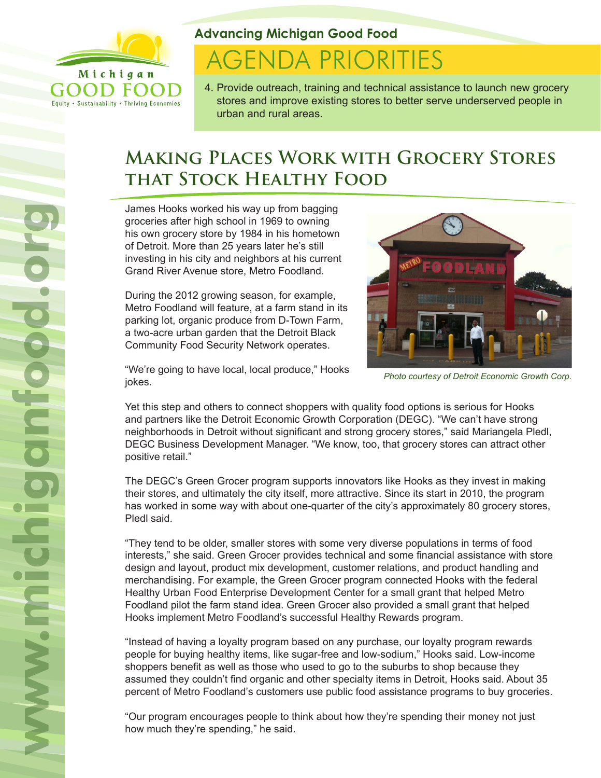

Equity . Sustainability . Thriving Economies

### **Advancing Michigan Good Food**

# **AGENDA PRIORITIES**

4. Provide outreach, training and technical assistance to launch new grocery stores and improve existing stores to better serve underserved people in urban and rural areas.

## **Making Places Work with Grocery Stores that Stock Healthy Food**

James Hooks worked his way up from bagging groceries after high school in 1969 to owning his own grocery store by 1984 in his hometown of Detroit. More than 25 years later he's still investing in his city and neighbors at his current Grand River Avenue store, Metro Foodland.

During the 2012 growing season, for example, Metro Foodland will feature, at a farm stand in its parking lot, organic produce from D-Town Farm, a two-acre urban garden that the Detroit Black Community Food Security Network operates.



*Photo courtesy of Detroit Economic Growth Corp.*

"We're going to have local, local produce," Hooks jokes.

Yet this step and others to connect shoppers with quality food options is serious for Hooks and partners like the Detroit Economic Growth Corporation (DEGC). "We can't have strong neighborhoods in Detroit without significant and strong grocery stores," said Mariangela Pledl, DEGC Business Development Manager. "We know, too, that grocery stores can attract other positive retail."

The DEGC's Green Grocer program supports innovators like Hooks as they invest in making their stores, and ultimately the city itself, more attractive. Since its start in 2010, the program has worked in some way with about one-quarter of the city's approximately 80 grocery stores, Pledl said.

"They tend to be older, smaller stores with some very diverse populations in terms of food interests," she said. Green Grocer provides technical and some financial assistance with store design and layout, product mix development, customer relations, and product handling and merchandising. For example, the Green Grocer program connected Hooks with the federal Healthy Urban Food Enterprise Development Center for a small grant that helped Metro Foodland pilot the farm stand idea. Green Grocer also provided a small grant that helped Hooks implement Metro Foodland's successful Healthy Rewards program.

"Instead of having a loyalty program based on any purchase, our loyalty program rewards people for buying healthy items, like sugar-free and low-sodium," Hooks said. Low-income shoppers benefit as well as those who used to go to the suburbs to shop because they assumed they couldn't find organic and other specialty items in Detroit, Hooks said. About 35 percent of Metro Foodland's customers use public food assistance programs to buy groceries.

"Our program encourages people to think about how they're spending their money not just how much they're spending," he said.